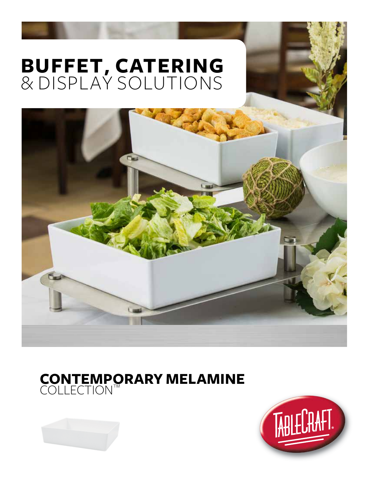# **BUFFET, CATERING** & DISPLAY SOLUTIONS





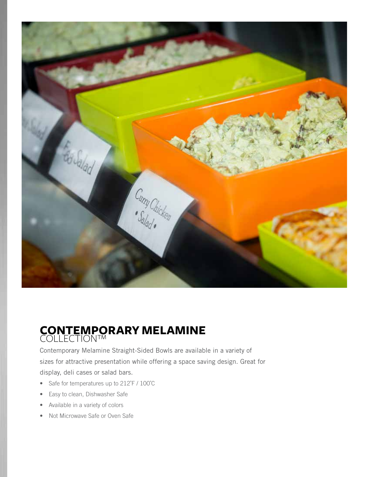

## **CONTEMPORARY MELAMINE** COLLECTION™

Contemporary Melamine Straight-Sided Bowls are available in a variety of sizes for attractive presentation while offering a space saving design. Great for display, deli cases or salad bars.

- Safe for temperatures up to 212°F / 100°C
- Easy to clean, Dishwasher Safe
- Available in a variety of colors
- Not Microwave Safe or Oven Safe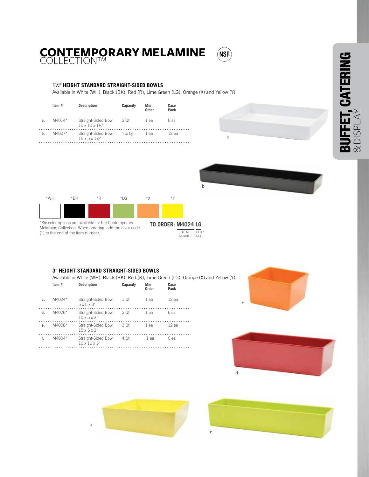## **CONTEMPORARY MELAMINE** (NSF) COLLECTION™

#### **1½" HEIGHT STANDARD STRAIGHT-SIDED BOWLS**

Available in White (WH), Black (BK), Red (R), Lime Green (LG), Orange (X) and Yellow (Y).

|    | Item#    | <b>Description</b>                                                | Capacity | Min<br>Order | Case<br>Pack |
|----|----------|-------------------------------------------------------------------|----------|--------------|--------------|
| a. | $M4014*$ | Straight-Sided Bowl, 2 Qt<br>$10 \times 10 \times 1\frac{1}{9}$ " |          | 1 ea         | 6 ea         |
| b. | M4007*   | Straight-Sided Bowl, 1¼ Qt<br>$15 \times 5 \times 116$ "          |          | 1 ea         | 12 ea        |





Melamine Collection. When ordering, add the color code (\*) to the end of the item number.

**TO ORDER: M4024 LG** ITEM NUMBER COLOR CODE

b

#### **3" HEIGHT STANDARD STRAIGHT-SIDED BOWLS**

Available in White (WH), Black (BK), Red (R), Lime Green (LG), Orange (X) and Yellow (Y).

|    | Item#  | <b>Description</b>                                | Capacity | Min<br>Order | Case<br>Pack |
|----|--------|---------------------------------------------------|----------|--------------|--------------|
| c. | M4024* | Straight-Sided Bowl,<br>$5 \times 5 \times 3$ "   | 1 Qt     | 1 ea         | $12$ ea      |
| d. | M4026* | Straight-Sided Bowl,<br>$10 \times 5 \times 3$ "  | 2 Qt     | 1 ea         | 6 ea         |
| e. | M4008* | Straight-Sided Bowl,<br>$15 \times 5 \times 3$ "  | - 3 Ot   | 1 ea         | $12$ ea      |
| f. | M4004* | Straight-Sided Bowl,<br>$10 \times 10 \times 3$ " | - 4 Ot   | 1 ea         | 6 ea         |